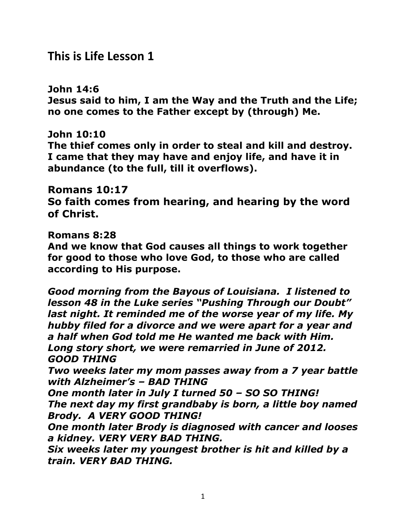# **This is Life Lesson 1**

**John 14:6 Jesus said to him, I am the Way and the Truth and the Life; no one comes to the Father except by (through) Me.**

#### **John 10:10**

**The thief comes only in order to steal and kill and destroy. I came that they may have and enjoy life, and have it in abundance (to the full, till it overflows).** 

#### **Romans 10:17**

**So faith comes from hearing, and hearing by the word of Christ.**

#### **Romans 8:28**

**And we know that God causes all things to work together for good to those who love God, to those who are called according to His purpose.** 

*Good morning from the Bayous of Louisiana. I listened to lesson 48 in the Luke series "Pushing Through our Doubt" last night. It reminded me of the worse year of my life. My hubby filed for a divorce and we were apart for a year and a half when God told me He wanted me back with Him. Long story short, we were remarried in June of 2012. GOOD THING Two weeks later my mom passes away from a 7 year battle with Alzheimer's – BAD THING One month later in July I turned 50 – SO SO THING! The next day my first grandbaby is born, a little boy named Brody. A VERY GOOD THING! One month later Brody is diagnosed with cancer and looses* 

*a kidney. VERY VERY BAD THING.*

*Six weeks later my youngest brother is hit and killed by a train. VERY BAD THING.*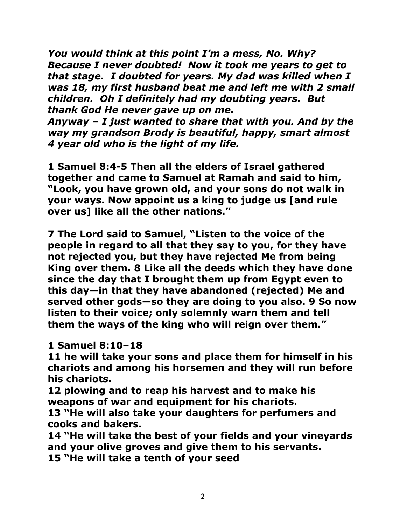*You would think at this point I'm a mess, No. Why? Because I never doubted! Now it took me years to get to that stage. I doubted for years. My dad was killed when I was 18, my first husband beat me and left me with 2 small children. Oh I definitely had my doubting years. But thank God He never gave up on me.*

*Anyway – I just wanted to share that with you. And by the way my grandson Brody is beautiful, happy, smart almost 4 year old who is the light of my life.*

**1 Samuel 8:4-5 Then all the elders of Israel gathered together and came to Samuel at Ramah and said to him, "Look, you have grown old, and your sons do not walk in your ways. Now appoint us a king to judge us [and rule over us] like all the other nations."** 

**7 The Lord said to Samuel, "Listen to the voice of the people in regard to all that they say to you, for they have not rejected you, but they have rejected Me from being King over them. 8 Like all the deeds which they have done since the day that I brought them up from Egypt even to this day—in that they have abandoned (rejected) Me and served other gods—so they are doing to you also. 9 So now listen to their voice; only solemnly warn them and tell them the ways of the king who will reign over them."**

#### **1 Samuel 8:10–18**

**11 he will take your sons and place them for himself in his chariots and among his horsemen and they will run before his chariots.** 

**12 plowing and to reap his harvest and to make his weapons of war and equipment for his chariots.** 

**13 "He will also take your daughters for perfumers and cooks and bakers.** 

**14 "He will take the best of your fields and your vineyards and your olive groves and give them to his servants. 15 "He will take a tenth of your seed**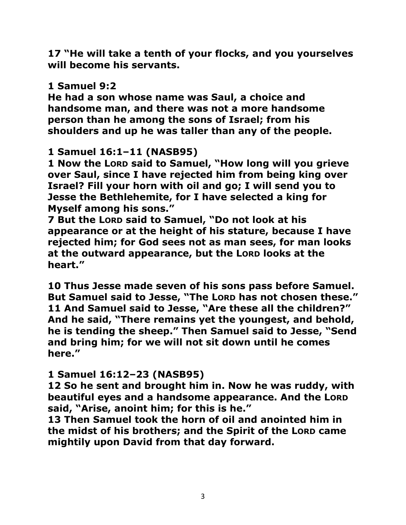**17 "He will take a tenth of your flocks, and you yourselves will become his servants.** 

### **1 Samuel 9:2**

**He had a son whose name was Saul, a choice and handsome man, and there was not a more handsome person than he among the sons of Israel; from his shoulders and up he was taller than any of the people.** 

## **1 Samuel 16:1–11 (NASB95)**

**1 Now the LORD said to Samuel, "How long will you grieve over Saul, since I have rejected him from being king over Israel? Fill your horn with oil and go; I will send you to Jesse the Bethlehemite, for I have selected a king for Myself among his sons."** 

**7 But the LORD said to Samuel, "Do not look at his appearance or at the height of his stature, because I have rejected him; for God sees not as man sees, for man looks at the outward appearance, but the LORD looks at the heart."** 

**10 Thus Jesse made seven of his sons pass before Samuel.**  But Samuel said to Jesse, "The Lorp has not chosen these." **11 And Samuel said to Jesse, "Are these all the children?" And he said, "There remains yet the youngest, and behold, he is tending the sheep." Then Samuel said to Jesse, "Send and bring him; for we will not sit down until he comes here."** 

### **1 Samuel 16:12–23 (NASB95)**

**12 So he sent and brought him in. Now he was ruddy, with beautiful eyes and a handsome appearance. And the LORD said, "Arise, anoint him; for this is he."** 

**13 Then Samuel took the horn of oil and anointed him in the midst of his brothers; and the Spirit of the LORD came mightily upon David from that day forward.**